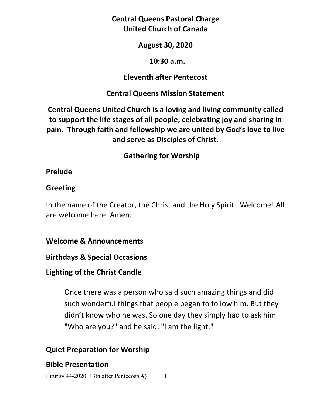**Central Queens Pastoral Charge United Church of Canada** 

#### **August 30, 2020**

#### **10:30 a.m.**

## **Eleventh after Pentecost**

## **Central Queens Mission Statement**

**Central Queens United Church is a loving and living community called to support the life stages of all people; celebrating joy and sharing in pain. Through faith and fellowship we are united by God's love to live and serve as Disciples of Christ.**

# **Gathering for Worship**

## **Prelude**

## **Greeting**

In the name of the Creator, the Christ and the Holy Spirit.Welcome! All are welcome here. Amen.

## **Welcome & Announcements**

# **Birthdays & Special Occasions**

# **Lighting of the Christ Candle**

Once there was a person who said such amazing things and did such wonderful things that people began to follow him. But they didn't know who he was. So one day they simply had to ask him. "Who are you?" and he said, "I am the light."

# **Quiet Preparation for Worship**

# **Bible Presentation**

Liturgy 44-2020 13th after Pentecost $(A)$  1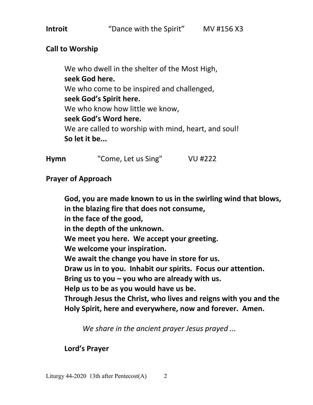**Introit "Dance with the Spirit"** MV #156 X3

# **Call to Worship**

 We who dwell in the shelter of the Most High,  **seek God here.**  We who come to be inspired and challenged, **seek God's Spirit here.**  We who know how little we know, **seek God's Word here.**  We are called to worship with mind, heart, and soul! **So let it be...** 

**Hymn** "Come, Let us Sing" VU #222

## **Prayer of Approach**

 **God, you are made known to us in the swirling wind that blows, in the blazing fire that does not consume, in the face of the good, in the depth of the unknown. We meet you here. We accept your greeting. We welcome your inspiration. We await the change you have in store for us. Draw us in to you. Inhabit our spirits. Focus our attention. Bring us to you – you who are already with us. Help us to be as you would have us be. Through Jesus the Christ, who lives and reigns with you and the Holy Spirit, here and everywhere, now and forever. Amen.**

*We share in the ancient prayer Jesus prayed ...*

 **Lord's Prayer**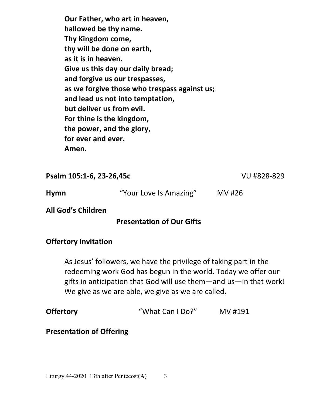**Our Father, who art in heaven, hallowed be thy name. Thy Kingdom come, thy will be done on earth, as it is in heaven. Give us this day our daily bread; and forgive us our trespasses, as we forgive those who trespass against us; and lead us not into temptation, but deliver us from evil. For thine is the kingdom, the power, and the glory, for ever and ever. Amen.** 

| Psalm 105:1-6, 23-26,45c  |                        | VU #828-829 |
|---------------------------|------------------------|-------------|
| <b>Hymn</b>               | "Your Love Is Amazing" | MV #26      |
| <b>All God's Children</b> |                        |             |

#### **Presentation of Our Gifts**

#### **Offertory Invitation**

 As Jesus' followers, we have the privilege of taking part in the redeeming work God has begun in the world. Today we offer our gifts in anticipation that God will use them—and us—in that work! We give as we are able, we give as we are called.

| <b>Offertory</b> | "What Can I Do?" | MV #191 |
|------------------|------------------|---------|
|------------------|------------------|---------|

### **Presentation of Offering**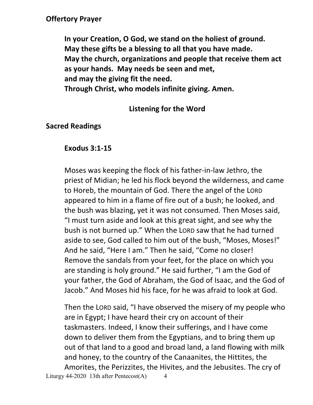## **Offertory Prayer**

**In your Creation, O God, we stand on the holiest of ground. May these gifts be a blessing to all that you have made. May the church, organizations and people that receive them act as your hands. May needs be seen and met, and may the giving fit the need. Through Christ, who models infinite giving. Amen.** 

## **Listening for the Word**

### **Sacred Readings**

### **Exodus 3:1-15**

Moses was keeping the flock of his father-in-law Jethro, the priest of Midian; he led his flock beyond the wilderness, and came to Horeb, the mountain of God. There the angel of the LORD appeared to him in a flame of fire out of a bush; he looked, and the bush was blazing, yet it was not consumed. Then Moses said, "I must turn aside and look at this great sight, and see why the bush is not burned up." When the LORD saw that he had turned aside to see, God called to him out of the bush, "Moses, Moses!" And he said, "Here I am." Then he said, "Come no closer! Remove the sandals from your feet, for the place on which you are standing is holy ground." He said further, "I am the God of your father, the God of Abraham, the God of Isaac, and the God of Jacob." And Moses hid his face, for he was afraid to look at God.

Liturgy  $44-2020$  13th after Pentecost $(A)$  4 Then the LORD said, "I have observed the misery of my people who are in Egypt; I have heard their cry on account of their taskmasters. Indeed, I know their sufferings, and I have come down to deliver them from the Egyptians, and to bring them up out of that land to a good and broad land, a land flowing with milk and honey, to the country of the Canaanites, the Hittites, the Amorites, the Perizzites, the Hivites, and the Jebusites. The cry of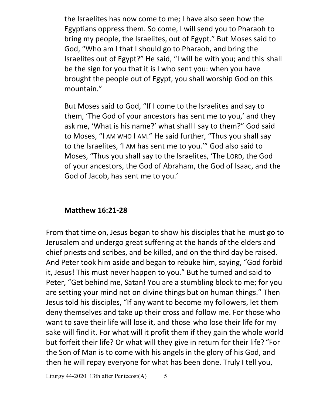the Israelites has now come to me; I have also seen how the Egyptians oppress them. So come, I will send you to Pharaoh to bring my people, the Israelites, out of Egypt." But Moses said to God, "Who am I that I should go to Pharaoh, and bring the Israelites out of Egypt?" He said, "I will be with you; and this shall be the sign for you that it is I who sent you: when you have brought the people out of Egypt, you shall worship God on this mountain."

But Moses said to God, "If I come to the Israelites and say to them, 'The God of your ancestors has sent me to you,' and they ask me, 'What is his name?' what shall I say to them?" God said to Moses, "I AM WHO I AM." He said further, "Thus you shall say to the Israelites, 'I AM has sent me to you.'" God also said to Moses, "Thus you shall say to the Israelites, 'The LORD, the God of your ancestors, the God of Abraham, the God of Isaac, and the God of Jacob, has sent me to you.'

### **Matthew 16:21-28**

From that time on, Jesus began to show his disciples that he must go to Jerusalem and undergo great suffering at the hands of the elders and chief priests and scribes, and be killed, and on the third day be raised. And Peter took him aside and began to rebuke him, saying, "God forbid it, Jesus! This must never happen to you." But he turned and said to Peter, "Get behind me, Satan! You are a stumbling block to me; for you are setting your mind not on divine things but on human things." Then Jesus told his disciples, "If any want to become my followers, let them deny themselves and take up their cross and follow me. For those who want to save their life will lose it, and those who lose their life for my sake will find it. For what will it profit them if they gain the whole world but forfeit their life? Or what will they give in return for their life? "For the Son of Man is to come with his angels in the glory of his God, and then he will repay everyone for what has been done. Truly I tell you,

Liturgy  $44-2020$  13th after Pentecost(A) 5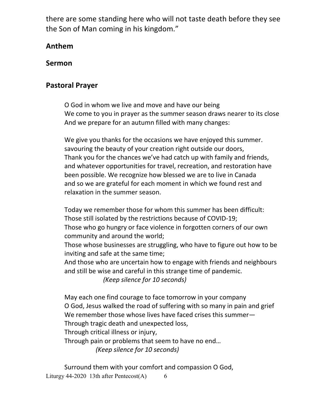there are some standing here who will not taste death before they see the Son of Man coming in his kingdom."

#### **Anthem**

#### **Sermon**

#### **Pastoral Prayer**

 O God in whom we live and move and have our being We come to you in prayer as the summer season draws nearer to its close And we prepare for an autumn filled with many changes:

 We give you thanks for the occasions we have enjoyed this summer. savouring the beauty of your creation right outside our doors, Thank you for the chances we've had catch up with family and friends, and whatever opportunities for travel, recreation, and restoration have been possible. We recognize how blessed we are to live in Canada and so we are grateful for each moment in which we found rest and relaxation in the summer season.

 Today we remember those for whom this summer has been difficult: Those still isolated by the restrictions because of COVID-19; Those who go hungry or face violence in forgotten corners of our own community and around the world; Those whose businesses are struggling, who have to figure out how to be inviting and safe at the same time;

 And those who are uncertain how to engage with friends and neighbours and still be wise and careful in this strange time of pandemic.

 *(Keep silence for 10 seconds)* 

 May each one find courage to face tomorrow in your company O God, Jesus walked the road of suffering with so many in pain and grief We remember those whose lives have faced crises this summer- Through tragic death and unexpected loss, Through critical illness or injury, Through pain or problems that seem to have no end…  *(Keep silence for 10 seconds)* 

Liturgy 44-2020 13th after Pentecost $(A)$  6 Surround them with your comfort and compassion O God,